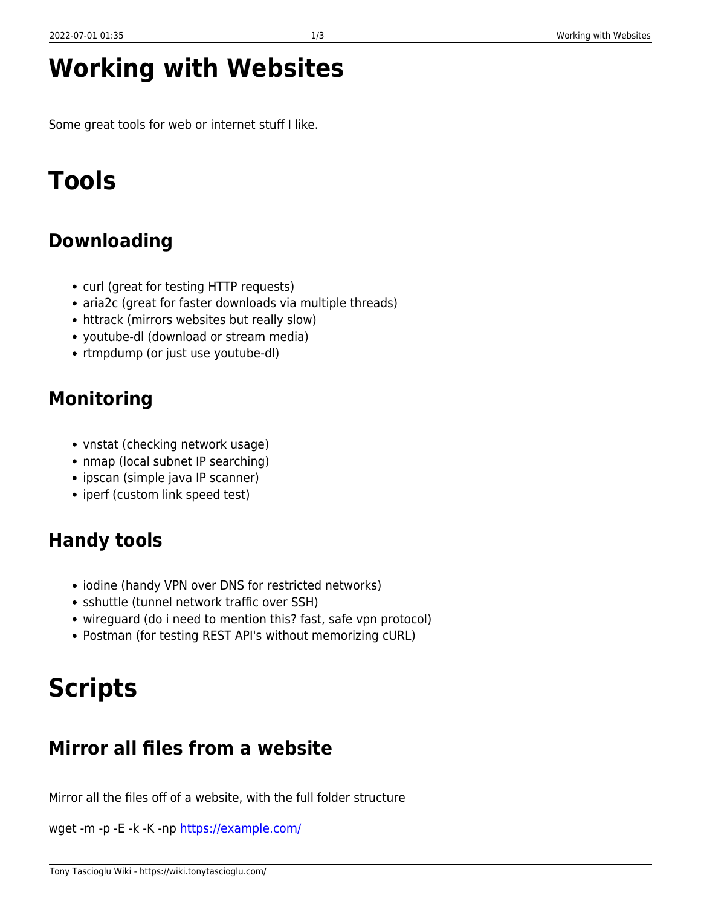## **Working with Websites**

Some great tools for web or internet stuff I like.

# **Tools**

#### **Downloading**

- curl (great for testing HTTP requests)
- aria2c (great for faster downloads via multiple threads)
- httrack (mirrors websites but really slow)
- youtube-dl (download or stream media)
- rtmpdump (or just use youtube-dl)

## **Monitoring**

- vnstat (checking network usage)
- nmap (local subnet IP searching)
- ipscan (simple java IP scanner)
- iperf (custom link speed test)

## **Handy tools**

- iodine (handy VPN over DNS for restricted networks)
- sshuttle (tunnel network traffic over SSH)
- wireguard (do i need to mention this? fast, safe vpn protocol)
- Postman (for testing REST API's without memorizing cURL)

# **Scripts**

#### **Mirror all files from a website**

Mirror all the files off of a website, with the full folder structure

wget -m -p -E -k -K -np<https://example.com/>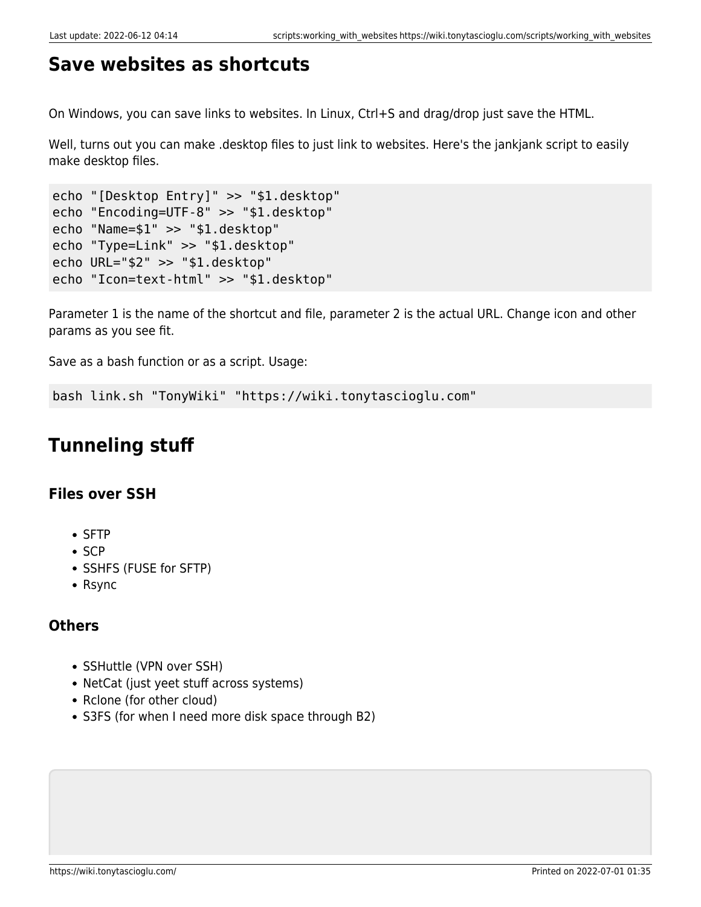#### **Save websites as shortcuts**

On Windows, you can save links to websites. In Linux, Ctrl+S and drag/drop just save the HTML.

Well, turns out you can make .desktop files to just link to websites. Here's the jankjank script to easily make desktop files.

```
echo "[Desktop Entry]" >> "$1.desktop"
echo "Encoding=UTF-8" >> "$1.desktop"
echo "Name=$1" >> "$1.desktop"
echo "Type=Link" >> "$1.desktop"
echo URL="$2" >> "$1.desktop"
echo "Icon=text-html" >> "$1.desktop"
```
Parameter 1 is the name of the shortcut and file, parameter 2 is the actual URL. Change icon and other params as you see fit.

Save as a bash function or as a script. Usage:

bash link.sh "TonyWiki" "https://wiki.tonytascioglu.com"

#### **Tunneling stuff**

#### **Files over SSH**

- SFTP
- $\bullet$  SCP
- SSHFS (FUSE for SFTP)
- Rsync

#### **Others**

- SSHuttle (VPN over SSH)
- NetCat (just yeet stuff across systems)
- Rclone (for other cloud)
- S3FS (for when I need more disk space through B2)